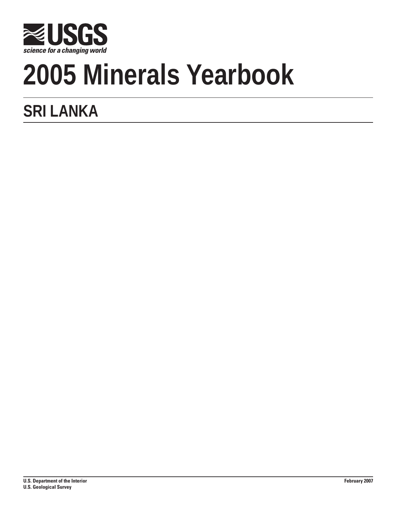

# **2005 Minerals Yearbook**

## **SRI LANKA**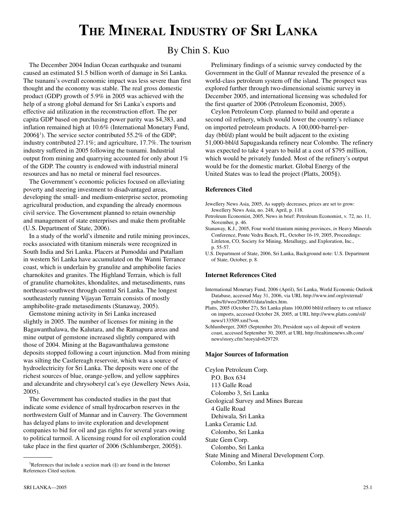### **THE MINERAL INDUSTRY OF SRI LANKA**

#### By Chin S. Kuo

The December 2004 Indian Ocean earthquake and tsunami caused an estimated \$1.5 billion worth of damage in Sri Lanka. The tsunami's overall economic impact was less severe than first thought and the economy was stable. The real gross domestic product (GDP) growth of 5.9% in 2005 was achieved with the help of a strong global demand for Sri Lanka's exports and effective aid utilization in the reconstruction effort. The per capita GDP based on purchasing power parity was \$4,383, and inflation remained high at 10.6% (International Monetary Fund, 2006§1 ). The service sector contributed 55.2% of the GDP; industry contributed 27.1%; and agriculture, 17.7%. The tourism industry suffered in 2005 following the tsunami. Industrial output from mining and quarrying accounted for only about 1% of the GDP. The country is endowed with industrial mineral resources and has no metal or mineral fuel resources.

The Government's economic policies focused on alleviating poverty and steering investment to disadvantaged areas, developing the small- and medium-enterprise sector, promoting agricultural production, and expanding the already enormous civil service. The Government planned to retain ownership and management of state enterprises and make them profitable (U.S. Department of State, 2006).

In a study of the world's ilmenite and rutile mining provinces, rocks associated with titanium minerals were recognized in South India and Sri Lanka. Placers at Pumoddai and Putallam in western Sri Lanka have accumulated on the Wanni Terrance coast, which is underlain by granulite and amphibolite facies charnokites and granites. The Highland Terrain, which is full of granulite charnokites, khondalites, and metasediments, runs northeast-southwest through central Sri Lanka. The longest southeasterly running Vijayan Terrain consists of mostly amphibolite-grade metasediments (Stanaway, 2005).

Gemstone mining activity in Sri Lanka increased slightly in 2005. The number of licenses for mining in the Bagawanthalawa, the Kalutara, and the Ratnapura areas and mine output of gemstone increased slightly compared with those of 2004. Mining at the Bagawanthalawa gemstone deposits stopped following a court injunction. Mud from mining was silting the Castlereagh reservoir, which was a source of hydroelectricity for Sri Lanka. The deposits were one of the richest sources of blue, orange-yellow, and yellow sapphires and alexandrite and chrysoberyl cat's eye (Jewellery News Asia, 2005).

The Government has conducted studies in the past that indicate some evidence of small hydrocarbon reserves in the northwestern Gulf of Mannar and in Cauvery. The Government has delayed plans to invite exploration and development companies to bid for oil and gas rights for several years owing to political turmoil. A licensing round for oil exploration could take place in the first quarter of 2006 (Schlumberger, 2005§).

Preliminary findings of a seismic survey conducted by the Government in the Gulf of Mannar revealed the presence of a world-class petroleum system off the island. The prospect was explored further through two-dimensional seismic survey in December 2005, and international licensing was scheduled for the first quarter of 2006 (Petroleum Economist, 2005).

Ceylon Petroleum Corp. planned to build and operate a second oil refinery, which would lower the country's reliance on imported petroleum products. A 100,000-barrel-perday (bbl/d) plant would be built adjacent to the existing 51,000-bbl/d Sapugaskanda refinery near Colombo. The refinery was expected to take 4 years to build at a cost of \$795 million, which would be privately funded. Most of the refinery's output would be for the domestic market. Global Energy of the United States was to lead the project (Platts, 2005§).

#### **References Cited**

Jewellery News Asia, 2005, As supply decreases, prices are set to grow: Jewellery News Asia, no. 248, April, p. 118.

Petroleum Economist, 2005, News in brief: Petroleum Economist, v. 72, no. 11, November, p. 46.

Stanaway, K.J., 2005, Four world titanium mining provinces, *in* Heavy Minerals Conference, Ponte Vedra Beach, FL, October 16-19, 2005, Proceedings: Littleton, CO, Society for Mining, Metallurgy, and Exploration, Inc., p. 55-57.

U.S. Department of State, 2006, Sri Lanka, Background note: U.S. Department of State, October, p. 8.

#### **Internet References Cited**

- International Monetary Fund, 2006 (April), Sri Lanka, World Economic Outlook Database, accessed May 31, 2006, via URL http://www.imf.org/external/ pubs/ft/weo/2006/01/data/index.htm.
- Platts, 2005 (October 27), Sri Lanka plans 100,000 bbl/d refinery to cut reliance on imports, accessed October 28, 2005, at URL http://www.platts.com/oil/ news/133509.xml?s=n.
- Schlumberger, 2005 (September 20), President says oil deposit off western coast, accessed September 30, 2005, at URL http://realtimenews.slb.com/ news/story.cfm?storyid=629729.

#### **Major Sources of Information**

Ceylon Petroleum Corp. P.O. Box 634 113 Galle Road Colombo 3, Sri Lanka Geological Survey and Mines Bureau 4 Galle Road Dehiwala, Sri Lanka Lanka Ceramic Ltd. Colombo, Sri Lanka State Gem Corp. Colombo, Sri Lanka State Mining and Mineral Development Corp. Colombo, Sri Lanka

<sup>&</sup>lt;sup>1</sup>References that include a section mark  $(\S)$  are found in the Internet References Cited section.